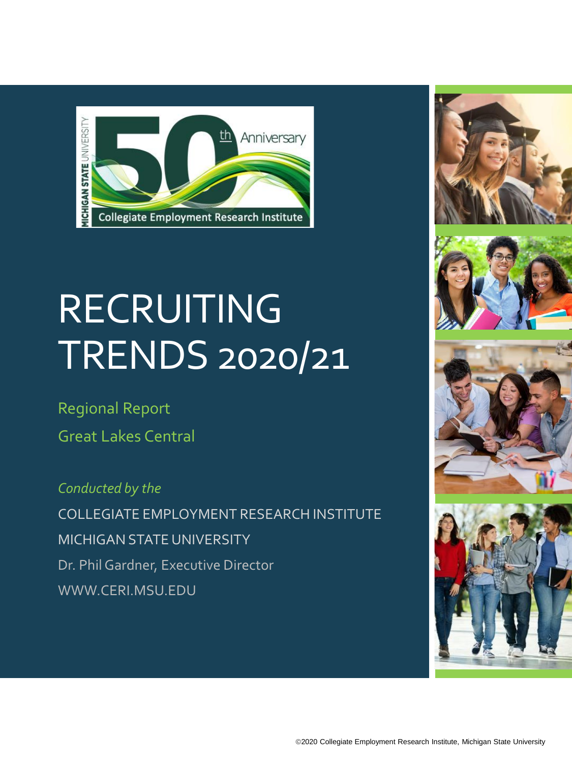

# **RECRUITING** TRENDS 2020/21

Regional Report Great Lakes Central

*Conducted by the* COLLEGIATE EMPLOYMENT RESEARCH INSTITUTE MICHIGAN STATE UNIVERSITY Dr. Phil Gardner, Executive Director WWW.CERI.MSU.EDU







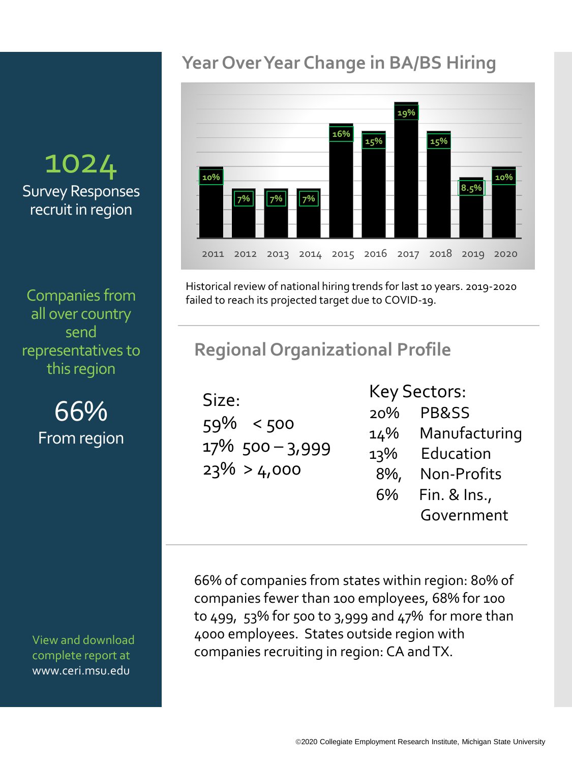## 1024 Survey Responses recruit in region

Companies from all over country send representatives to this region

> 66% From region

View and download complete report at www.ceri.msu.edu

## **Year Over Year Change in BA/BS Hiring**



Historical review of national hiring trends for last 10 years. 2019-2020 failed to reach its projected target due to COVID-19.

### **Regional Organizational Profile**

Size: 59% < 500 17% 500 – 3,999  $23\% > 4,000$ 

Key Sectors:

20% PB&SS 14% Manufacturing 13% Education 8%, Non-Profits 6% Fin. & Ins., Government

66% of companies from states within region: 80% of companies fewer than 100 employees, 68% for 100 to 499, 53% for 500 to 3,999 and 47% for more than 4000 employees. States outside region with companies recruiting in region: CA and TX.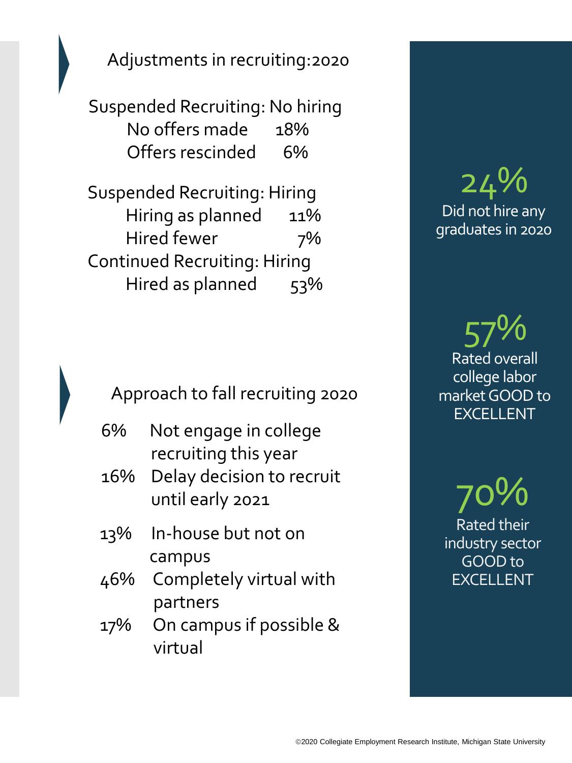Adjustments in recruiting:2020

Suspended Recruiting: No hiring No offers made 18% Offers rescinded 6%

Suspended Recruiting: Hiring Hiring as planned 11% Hired fewer 7% Continued Recruiting: Hiring Hired as planned 53%

Approach to fall recruiting 2020

- 6% Not engage in college recruiting this year
- 16% Delay decision to recruit until early 2021
- 13% In-house but not on campus
- 46% Completely virtual with partners
- 17% On campus if possible & virtual

24% Did not hire any graduates in 2020

57% Rated overall college labor market GOOD to EXCELLENT

70% Rated their industry sector GOOD to EXCELLENT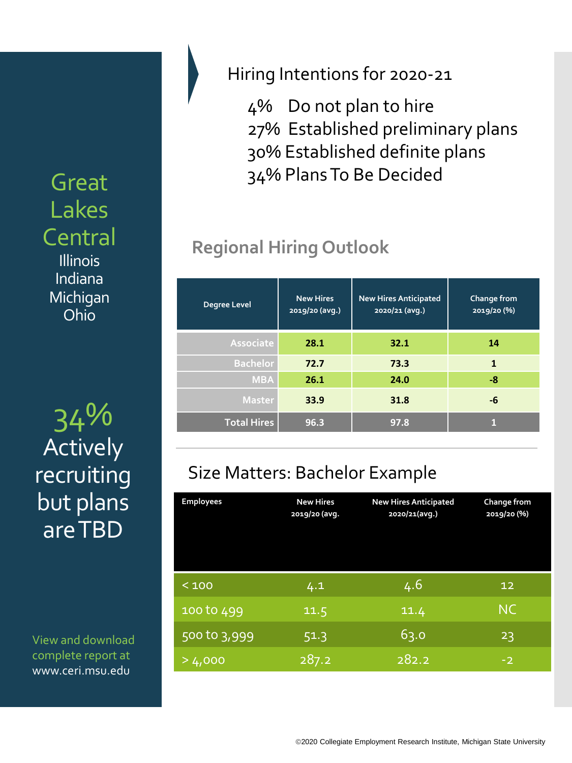Great Lakes Central **Illinois** Indiana Michigan Ohio

34% **Total Hires 96.3 97.8 <sup>1</sup>** Actively recruiting but plans are TBD

View and download complete report at www.ceri.msu.edu

#### Hiring Intentions for 2020-21

4% Do not plan to hire 27% Established preliminary plans 30% Established definite plans 34% Plans To Be Decided

# **Regional Hiring Outlook**

| <b>Degree Level</b> | <b>New Hires</b><br>2019/20 (avg.) | <b>New Hires Anticipated</b><br>2020/21 (avg.) | Change from<br>2019/20 (%) |
|---------------------|------------------------------------|------------------------------------------------|----------------------------|
| Associate           | 28.1                               | 32.1                                           | 14                         |
| <b>Bachelor</b>     | 72.7                               | 73.3                                           | 1                          |
| <b>MBA</b>          | 26.1                               | 24.0                                           | -8                         |
| <b>Master</b>       | 33.9                               | 31.8                                           | -6                         |
| <b>Total Hires</b>  | 96.3                               | 97.8                                           |                            |

# Size Matters: Bachelor Example

| <b>Employees</b> | <b>New Hires</b><br>2019/20 (avg. | <b>New Hires Anticipated</b><br>2020/21(avg.) | Change from<br>2019/20 (%) |
|------------------|-----------------------------------|-----------------------------------------------|----------------------------|
| < 100            | 4.1                               | 4.6                                           | 12                         |
| 100 to 499       | 11.5                              | 11.4                                          | <b>NC</b>                  |
| 500 to 3,999     | 51.3                              | 63.0                                          | 23                         |
| >4,000           | 287.2                             | 282.2                                         | $-2$                       |